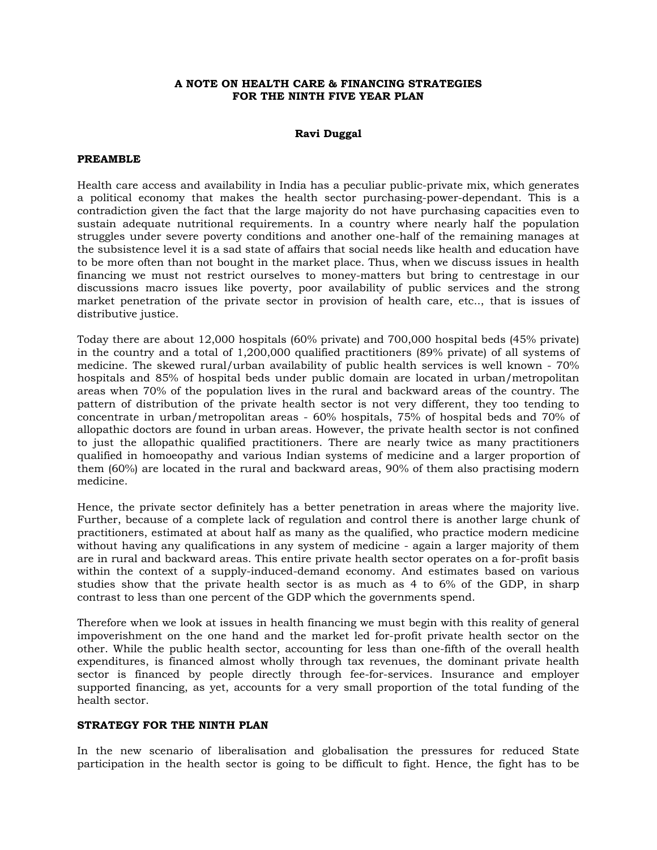## **A NOTE ON HEALTH CARE & FINANCING STRATEGIES FOR THE NINTH FIVE YEAR PLAN**

### **Ravi Duggal**

#### **PREAMBLE**

Health care access and availability in India has a peculiar public-private mix, which generates a political economy that makes the health sector purchasing-power-dependant. This is a contradiction given the fact that the large majority do not have purchasing capacities even to sustain adequate nutritional requirements. In a country where nearly half the population struggles under severe poverty conditions and another one-half of the remaining manages at the subsistence level it is a sad state of affairs that social needs like health and education have to be more often than not bought in the market place. Thus, when we discuss issues in health financing we must not restrict ourselves to money-matters but bring to centrestage in our discussions macro issues like poverty, poor availability of public services and the strong market penetration of the private sector in provision of health care, etc.., that is issues of distributive justice.

Today there are about 12,000 hospitals (60% private) and 700,000 hospital beds (45% private) in the country and a total of 1,200,000 qualified practitioners (89% private) of all systems of medicine. The skewed rural/urban availability of public health services is well known - 70% hospitals and 85% of hospital beds under public domain are located in urban/metropolitan areas when 70% of the population lives in the rural and backward areas of the country. The pattern of distribution of the private health sector is not very different, they too tending to concentrate in urban/metropolitan areas - 60% hospitals, 75% of hospital beds and 70% of allopathic doctors are found in urban areas. However, the private health sector is not confined to just the allopathic qualified practitioners. There are nearly twice as many practitioners qualified in homoeopathy and various Indian systems of medicine and a larger proportion of them (60%) are located in the rural and backward areas, 90% of them also practising modern medicine.

Hence, the private sector definitely has a better penetration in areas where the majority live. Further, because of a complete lack of regulation and control there is another large chunk of practitioners, estimated at about half as many as the qualified, who practice modern medicine without having any qualifications in any system of medicine - again a larger majority of them are in rural and backward areas. This entire private health sector operates on a for-profit basis within the context of a supply-induced-demand economy. And estimates based on various studies show that the private health sector is as much as 4 to 6% of the GDP, in sharp contrast to less than one percent of the GDP which the governments spend.

Therefore when we look at issues in health financing we must begin with this reality of general impoverishment on the one hand and the market led for-profit private health sector on the other. While the public health sector, accounting for less than one-fifth of the overall health expenditures, is financed almost wholly through tax revenues, the dominant private health sector is financed by people directly through fee-for-services. Insurance and employer supported financing, as yet, accounts for a very small proportion of the total funding of the health sector.

## **STRATEGY FOR THE NINTH PLAN**

In the new scenario of liberalisation and globalisation the pressures for reduced State participation in the health sector is going to be difficult to fight. Hence, the fight has to be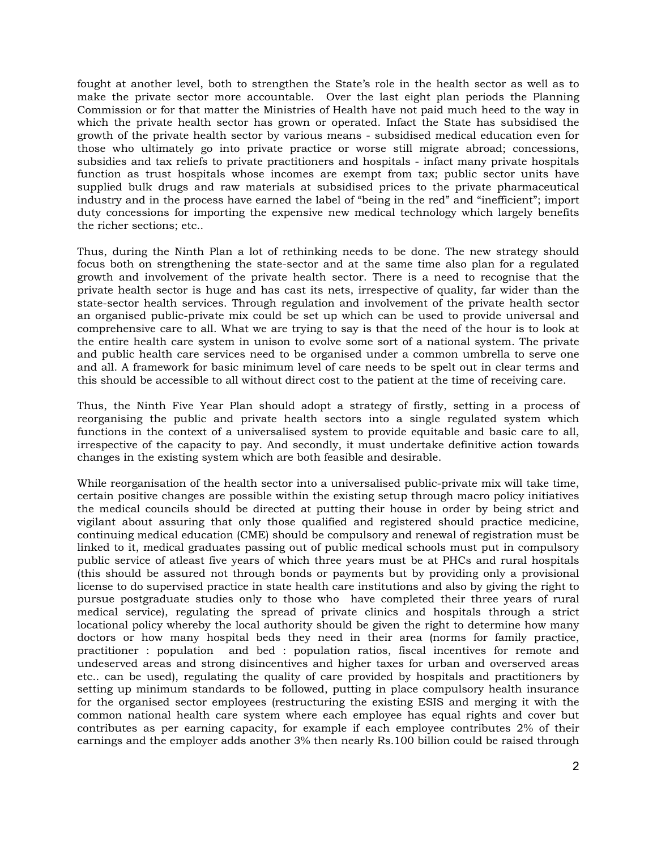fought at another level, both to strengthen the State's role in the health sector as well as to make the private sector more accountable. Over the last eight plan periods the Planning Commission or for that matter the Ministries of Health have not paid much heed to the way in which the private health sector has grown or operated. Infact the State has subsidised the growth of the private health sector by various means - subsidised medical education even for those who ultimately go into private practice or worse still migrate abroad; concessions, subsidies and tax reliefs to private practitioners and hospitals - infact many private hospitals function as trust hospitals whose incomes are exempt from tax; public sector units have supplied bulk drugs and raw materials at subsidised prices to the private pharmaceutical industry and in the process have earned the label of "being in the red" and "inefficient"; import duty concessions for importing the expensive new medical technology which largely benefits the richer sections; etc..

Thus, during the Ninth Plan a lot of rethinking needs to be done. The new strategy should focus both on strengthening the state-sector and at the same time also plan for a regulated growth and involvement of the private health sector. There is a need to recognise that the private health sector is huge and has cast its nets, irrespective of quality, far wider than the state-sector health services. Through regulation and involvement of the private health sector an organised public-private mix could be set up which can be used to provide universal and comprehensive care to all. What we are trying to say is that the need of the hour is to look at the entire health care system in unison to evolve some sort of a national system. The private and public health care services need to be organised under a common umbrella to serve one and all. A framework for basic minimum level of care needs to be spelt out in clear terms and this should be accessible to all without direct cost to the patient at the time of receiving care.

Thus, the Ninth Five Year Plan should adopt a strategy of firstly, setting in a process of reorganising the public and private health sectors into a single regulated system which functions in the context of a universalised system to provide equitable and basic care to all, irrespective of the capacity to pay. And secondly, it must undertake definitive action towards changes in the existing system which are both feasible and desirable.

While reorganisation of the health sector into a universalised public-private mix will take time, certain positive changes are possible within the existing setup through macro policy initiatives the medical councils should be directed at putting their house in order by being strict and vigilant about assuring that only those qualified and registered should practice medicine, continuing medical education (CME) should be compulsory and renewal of registration must be linked to it, medical graduates passing out of public medical schools must put in compulsory public service of atleast five years of which three years must be at PHCs and rural hospitals (this should be assured not through bonds or payments but by providing only a provisional license to do supervised practice in state health care institutions and also by giving the right to pursue postgraduate studies only to those who have completed their three years of rural medical service), regulating the spread of private clinics and hospitals through a strict locational policy whereby the local authority should be given the right to determine how many doctors or how many hospital beds they need in their area (norms for family practice, practitioner : population and bed : population ratios, fiscal incentives for remote and undeserved areas and strong disincentives and higher taxes for urban and overserved areas etc.. can be used), regulating the quality of care provided by hospitals and practitioners by setting up minimum standards to be followed, putting in place compulsory health insurance for the organised sector employees (restructuring the existing ESIS and merging it with the common national health care system where each employee has equal rights and cover but contributes as per earning capacity, for example if each employee contributes 2% of their earnings and the employer adds another 3% then nearly Rs.100 billion could be raised through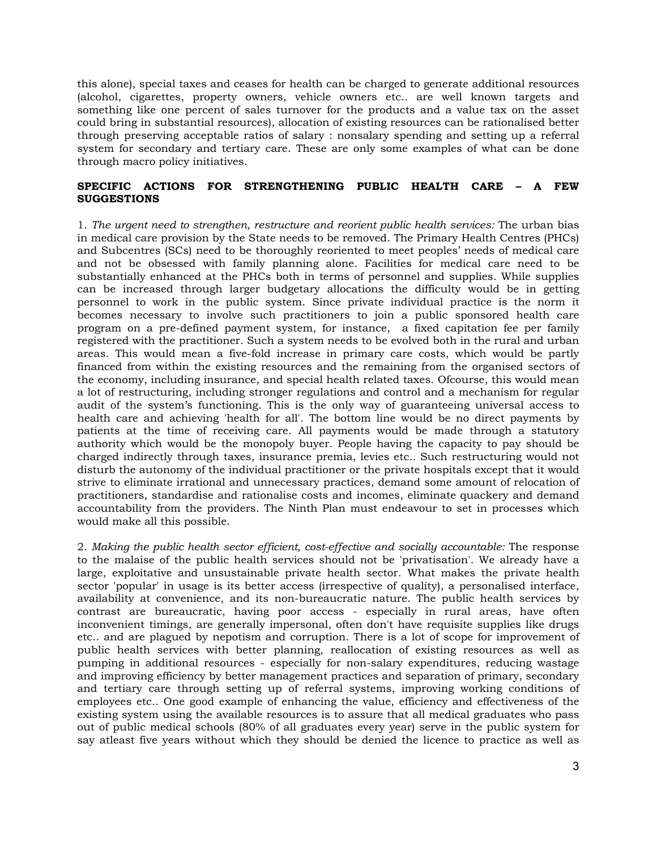this alone), special taxes and ceases for health can be charged to generate additional resources (alcohol, cigarettes, property owners, vehicle owners etc.. are well known targets and something like one percent of sales turnover for the products and a value tax on the asset could bring in substantial resources), allocation of existing resources can be rationalised better through preserving acceptable ratios of salary : nonsalary spending and setting up a referral system for secondary and tertiary care. These are only some examples of what can be done through macro policy initiatives.

## **SPECIFIC ACTIONS FOR STRENGTHENING PUBLIC HEALTH CARE – A FEW SUGGESTIONS**

1. *The urgent need to strengthen, restructure and reorient public health services:* The urban bias in medical care provision by the State needs to be removed. The Primary Health Centres (PHCs) and Subcentres (SCs) need to be thoroughly reoriented to meet peoples' needs of medical care and not be obsessed with family planning alone. Facilities for medical care need to be substantially enhanced at the PHCs both in terms of personnel and supplies. While supplies can be increased through larger budgetary allocations the difficulty would be in getting personnel to work in the public system. Since private individual practice is the norm it becomes necessary to involve such practitioners to join a public sponsored health care program on a pre-defined payment system, for instance, a fixed capitation fee per family registered with the practitioner. Such a system needs to be evolved both in the rural and urban areas. This would mean a five-fold increase in primary care costs, which would be partly financed from within the existing resources and the remaining from the organised sectors of the economy, including insurance, and special health related taxes. Ofcourse, this would mean a lot of restructuring, including stronger regulations and control and a mechanism for regular audit of the system's functioning. This is the only way of guaranteeing universal access to health care and achieving 'health for all'. The bottom line would be no direct payments by patients at the time of receiving care. All payments would be made through a statutory authority which would be the monopoly buyer. People having the capacity to pay should be charged indirectly through taxes, insurance premia, levies etc.. Such restructuring would not disturb the autonomy of the individual practitioner or the private hospitals except that it would strive to eliminate irrational and unnecessary practices, demand some amount of relocation of practitioners, standardise and rationalise costs and incomes, eliminate quackery and demand accountability from the providers. The Ninth Plan must endeavour to set in processes which would make all this possible.

2. *Making the public health sector efficient, cost-effective and socially accountable:* The response to the malaise of the public health services should not be 'privatisation'. We already have a large, exploitative and unsustainable private health sector. What makes the private health sector 'popular' in usage is its better access (irrespective of quality), a personalised interface, availability at convenience, and its non-bureaucratic nature. The public health services by contrast are bureaucratic, having poor access - especially in rural areas, have often inconvenient timings, are generally impersonal, often don't have requisite supplies like drugs etc.. and are plagued by nepotism and corruption. There is a lot of scope for improvement of public health services with better planning, reallocation of existing resources as well as pumping in additional resources - especially for non-salary expenditures, reducing wastage and improving efficiency by better management practices and separation of primary, secondary and tertiary care through setting up of referral systems, improving working conditions of employees etc.. One good example of enhancing the value, efficiency and effectiveness of the existing system using the available resources is to assure that all medical graduates who pass out of public medical schools (80% of all graduates every year) serve in the public system for say atleast five years without which they should be denied the licence to practice as well as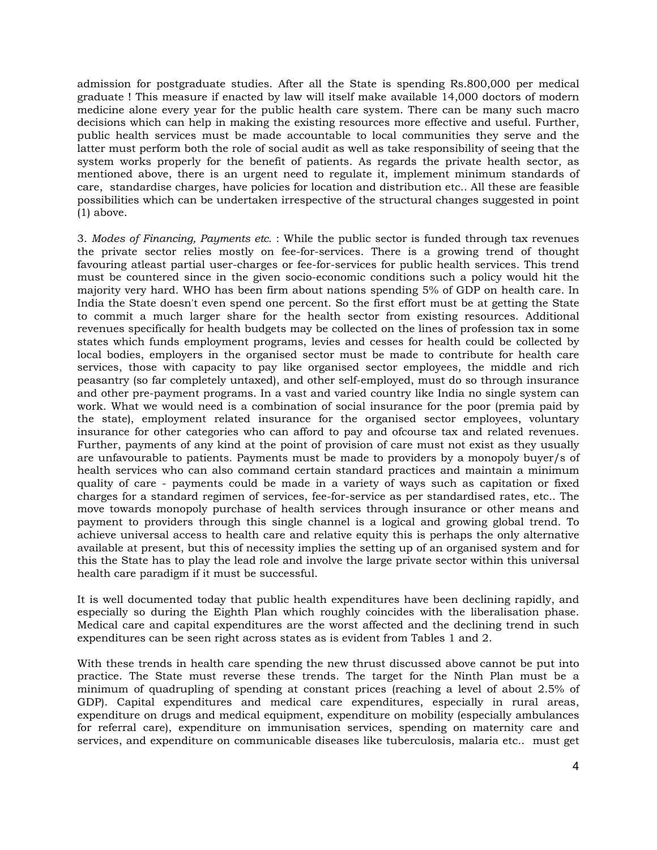admission for postgraduate studies. After all the State is spending Rs.800,000 per medical graduate ! This measure if enacted by law will itself make available 14,000 doctors of modern medicine alone every year for the public health care system. There can be many such macro decisions which can help in making the existing resources more effective and useful. Further, public health services must be made accountable to local communities they serve and the latter must perform both the role of social audit as well as take responsibility of seeing that the system works properly for the benefit of patients. As regards the private health sector, as mentioned above, there is an urgent need to regulate it, implement minimum standards of care, standardise charges, have policies for location and distribution etc.. All these are feasible possibilities which can be undertaken irrespective of the structural changes suggested in point (1) above.

3. *Modes of Financing, Payments etc*. : While the public sector is funded through tax revenues the private sector relies mostly on fee-for-services. There is a growing trend of thought favouring atleast partial user-charges or fee-for-services for public health services. This trend must be countered since in the given socio-economic conditions such a policy would hit the majority very hard. WHO has been firm about nations spending 5% of GDP on health care. In India the State doesn't even spend one percent. So the first effort must be at getting the State to commit a much larger share for the health sector from existing resources. Additional revenues specifically for health budgets may be collected on the lines of profession tax in some states which funds employment programs, levies and cesses for health could be collected by local bodies, employers in the organised sector must be made to contribute for health care services, those with capacity to pay like organised sector employees, the middle and rich peasantry (so far completely untaxed), and other self-employed, must do so through insurance and other pre-payment programs. In a vast and varied country like India no single system can work. What we would need is a combination of social insurance for the poor (premia paid by the state), employment related insurance for the organised sector employees, voluntary insurance for other categories who can afford to pay and ofcourse tax and related revenues. Further, payments of any kind at the point of provision of care must not exist as they usually are unfavourable to patients. Payments must be made to providers by a monopoly buyer/s of health services who can also command certain standard practices and maintain a minimum quality of care - payments could be made in a variety of ways such as capitation or fixed charges for a standard regimen of services, fee-for-service as per standardised rates, etc.. The move towards monopoly purchase of health services through insurance or other means and payment to providers through this single channel is a logical and growing global trend. To achieve universal access to health care and relative equity this is perhaps the only alternative available at present, but this of necessity implies the setting up of an organised system and for this the State has to play the lead role and involve the large private sector within this universal health care paradigm if it must be successful.

It is well documented today that public health expenditures have been declining rapidly, and especially so during the Eighth Plan which roughly coincides with the liberalisation phase. Medical care and capital expenditures are the worst affected and the declining trend in such expenditures can be seen right across states as is evident from Tables 1 and 2.

With these trends in health care spending the new thrust discussed above cannot be put into practice. The State must reverse these trends. The target for the Ninth Plan must be a minimum of quadrupling of spending at constant prices (reaching a level of about 2.5% of GDP). Capital expenditures and medical care expenditures, especially in rural areas, expenditure on drugs and medical equipment, expenditure on mobility (especially ambulances for referral care), expenditure on immunisation services, spending on maternity care and services, and expenditure on communicable diseases like tuberculosis, malaria etc.. must get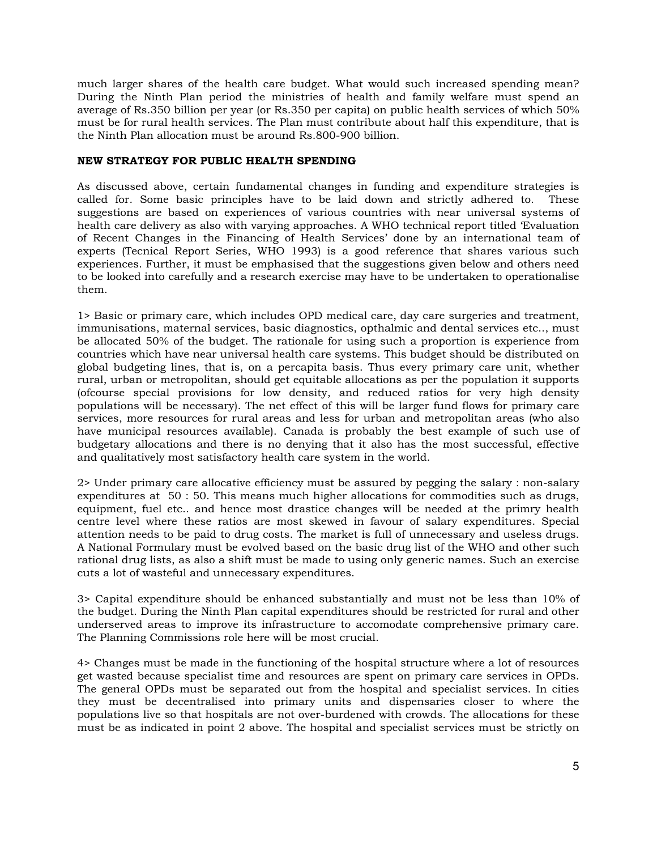much larger shares of the health care budget. What would such increased spending mean? During the Ninth Plan period the ministries of health and family welfare must spend an average of Rs.350 billion per year (or Rs.350 per capita) on public health services of which 50% must be for rural health services. The Plan must contribute about half this expenditure, that is the Ninth Plan allocation must be around Rs.800-900 billion.

# **NEW STRATEGY FOR PUBLIC HEALTH SPENDING**

As discussed above, certain fundamental changes in funding and expenditure strategies is called for. Some basic principles have to be laid down and strictly adhered to. These suggestions are based on experiences of various countries with near universal systems of health care delivery as also with varying approaches. A WHO technical report titled 'Evaluation of Recent Changes in the Financing of Health Services' done by an international team of experts (Tecnical Report Series, WHO 1993) is a good reference that shares various such experiences. Further, it must be emphasised that the suggestions given below and others need to be looked into carefully and a research exercise may have to be undertaken to operationalise them.

1> Basic or primary care, which includes OPD medical care, day care surgeries and treatment, immunisations, maternal services, basic diagnostics, opthalmic and dental services etc.., must be allocated 50% of the budget. The rationale for using such a proportion is experience from countries which have near universal health care systems. This budget should be distributed on global budgeting lines, that is, on a percapita basis. Thus every primary care unit, whether rural, urban or metropolitan, should get equitable allocations as per the population it supports (ofcourse special provisions for low density, and reduced ratios for very high density populations will be necessary). The net effect of this will be larger fund flows for primary care services, more resources for rural areas and less for urban and metropolitan areas (who also have municipal resources available). Canada is probably the best example of such use of budgetary allocations and there is no denying that it also has the most successful, effective and qualitatively most satisfactory health care system in the world.

2> Under primary care allocative efficiency must be assured by pegging the salary : non-salary expenditures at 50 : 50. This means much higher allocations for commodities such as drugs, equipment, fuel etc.. and hence most drastice changes will be needed at the primry health centre level where these ratios are most skewed in favour of salary expenditures. Special attention needs to be paid to drug costs. The market is full of unnecessary and useless drugs. A National Formulary must be evolved based on the basic drug list of the WHO and other such rational drug lists, as also a shift must be made to using only generic names. Such an exercise cuts a lot of wasteful and unnecessary expenditures.

3> Capital expenditure should be enhanced substantially and must not be less than 10% of the budget. During the Ninth Plan capital expenditures should be restricted for rural and other underserved areas to improve its infrastructure to accomodate comprehensive primary care. The Planning Commissions role here will be most crucial.

4> Changes must be made in the functioning of the hospital structure where a lot of resources get wasted because specialist time and resources are spent on primary care services in OPDs. The general OPDs must be separated out from the hospital and specialist services. In cities they must be decentralised into primary units and dispensaries closer to where the populations live so that hospitals are not over-burdened with crowds. The allocations for these must be as indicated in point 2 above. The hospital and specialist services must be strictly on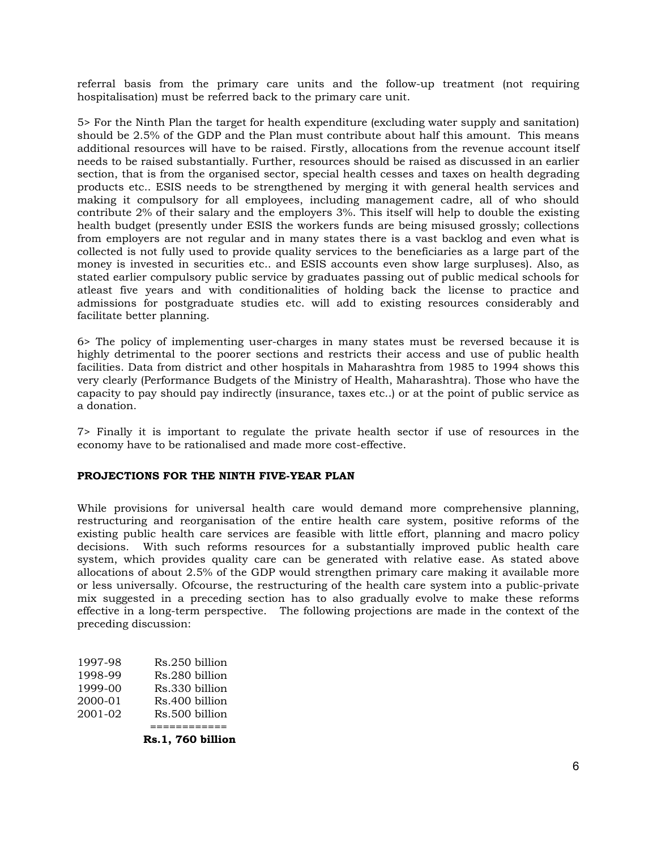referral basis from the primary care units and the follow-up treatment (not requiring hospitalisation) must be referred back to the primary care unit.

5> For the Ninth Plan the target for health expenditure (excluding water supply and sanitation) should be 2.5% of the GDP and the Plan must contribute about half this amount. This means additional resources will have to be raised. Firstly, allocations from the revenue account itself needs to be raised substantially. Further, resources should be raised as discussed in an earlier section, that is from the organised sector, special health cesses and taxes on health degrading products etc.. ESIS needs to be strengthened by merging it with general health services and making it compulsory for all employees, including management cadre, all of who should contribute 2% of their salary and the employers 3%. This itself will help to double the existing health budget (presently under ESIS the workers funds are being misused grossly; collections from employers are not regular and in many states there is a vast backlog and even what is collected is not fully used to provide quality services to the beneficiaries as a large part of the money is invested in securities etc.. and ESIS accounts even show large surpluses). Also, as stated earlier compulsory public service by graduates passing out of public medical schools for atleast five years and with conditionalities of holding back the license to practice and admissions for postgraduate studies etc. will add to existing resources considerably and facilitate better planning.

6> The policy of implementing user-charges in many states must be reversed because it is highly detrimental to the poorer sections and restricts their access and use of public health facilities. Data from district and other hospitals in Maharashtra from 1985 to 1994 shows this very clearly (Performance Budgets of the Ministry of Health, Maharashtra). Those who have the capacity to pay should pay indirectly (insurance, taxes etc..) or at the point of public service as a donation.

7> Finally it is important to regulate the private health sector if use of resources in the economy have to be rationalised and made more cost-effective.

## **PROJECTIONS FOR THE NINTH FIVE-YEAR PLAN**

While provisions for universal health care would demand more comprehensive planning, restructuring and reorganisation of the entire health care system, positive reforms of the existing public health care services are feasible with little effort, planning and macro policy decisions. With such reforms resources for a substantially improved public health care system, which provides quality care can be generated with relative ease. As stated above allocations of about 2.5% of the GDP would strengthen primary care making it available more or less universally. Ofcourse, the restructuring of the health care system into a public-private mix suggested in a preceding section has to also gradually evolve to make these reforms effective in a long-term perspective. The following projections are made in the context of the preceding discussion:

| 1997-98 | Rs.250 billion |
|---------|----------------|
| 1998-99 | Rs.280 billion |
| 1999-00 | Rs.330 billion |
| 2000-01 | Rs.400 billion |
| 2001-02 | Rs.500 billion |
|         |                |

 **Rs.1, 760 billion**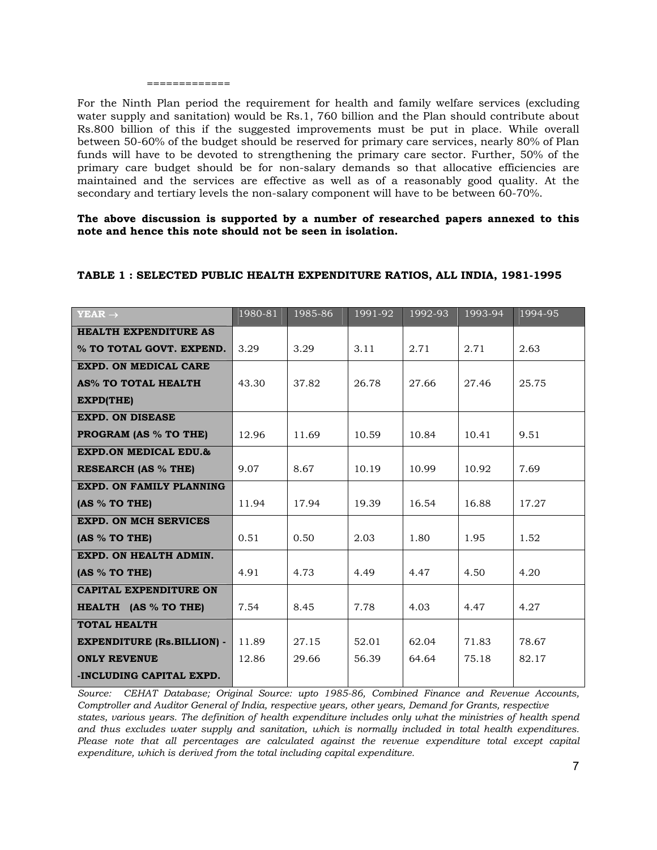### =============

For the Ninth Plan period the requirement for health and family welfare services (excluding water supply and sanitation) would be Rs.1, 760 billion and the Plan should contribute about Rs.800 billion of this if the suggested improvements must be put in place. While overall between 50-60% of the budget should be reserved for primary care services, nearly 80% of Plan funds will have to be devoted to strengthening the primary care sector. Further, 50% of the primary care budget should be for non-salary demands so that allocative efficiencies are maintained and the services are effective as well as of a reasonably good quality. At the secondary and tertiary levels the non-salary component will have to be between 60-70%.

**The above discussion is supported by a number of researched papers annexed to this note and hence this note should not be seen in isolation.**

| $YEAR \rightarrow$                 | 1980-81 | 1985-86 | 1991-92 | 1992-93 | 1993-94 | 1994-95 |
|------------------------------------|---------|---------|---------|---------|---------|---------|
| <b>HEALTH EXPENDITURE AS</b>       |         |         |         |         |         |         |
| % TO TOTAL GOVT. EXPEND.           | 3.29    | 3.29    | 3.11    | 2.71    | 2.71    | 2.63    |
| <b>EXPD. ON MEDICAL CARE</b>       |         |         |         |         |         |         |
| AS% TO TOTAL HEALTH                | 43.30   | 37.82   | 26.78   | 27.66   | 27.46   | 25.75   |
| <b>EXPD(THE)</b>                   |         |         |         |         |         |         |
| <b>EXPD. ON DISEASE</b>            |         |         |         |         |         |         |
| <b>PROGRAM (AS % TO THE)</b>       | 12.96   | 11.69   | 10.59   | 10.84   | 10.41   | 9.51    |
| <b>EXPD.ON MEDICAL EDU.&amp;</b>   |         |         |         |         |         |         |
| <b>RESEARCH (AS % THE)</b>         | 9.07    | 8.67    | 10.19   | 10.99   | 10.92   | 7.69    |
| <b>EXPD. ON FAMILY PLANNING</b>    |         |         |         |         |         |         |
| (AS % TO THE)                      | 11.94   | 17.94   | 19.39   | 16.54   | 16.88   | 17.27   |
| <b>EXPD. ON MCH SERVICES</b>       |         |         |         |         |         |         |
| (AS % TO THE)                      | 0.51    | 0.50    | 2.03    | 1.80    | 1.95    | 1.52    |
| EXPD. ON HEALTH ADMIN.             |         |         |         |         |         |         |
| (AS % TO THE)                      | 4.91    | 4.73    | 4.49    | 4.47    | 4.50    | 4.20    |
| <b>CAPITAL EXPENDITURE ON</b>      |         |         |         |         |         |         |
| HEALTH (AS % TO THE)               | 7.54    | 8.45    | 7.78    | 4.03    | 4.47    | 4.27    |
| <b>TOTAL HEALTH</b>                |         |         |         |         |         |         |
| <b>EXPENDITURE (Rs. BILLION) -</b> | 11.89   | 27.15   | 52.01   | 62.04   | 71.83   | 78.67   |
| <b>ONLY REVENUE</b>                | 12.86   | 29.66   | 56.39   | 64.64   | 75.18   | 82.17   |
| -INCLUDING CAPITAL EXPD.           |         |         |         |         |         |         |

### **TABLE 1 : SELECTED PUBLIC HEALTH EXPENDITURE RATIOS, ALL INDIA, 1981-1995**

*Source: CEHAT Database; Original Source: upto 1985-86, Combined Finance and Revenue Accounts, Comptroller and Auditor General of India, respective years, other years, Demand for Grants, respective states, various years. The definition of health expenditure includes only what the ministries of health spend and thus excludes water supply and sanitation, which is normally included in total health expenditures. Please note that all percentages are calculated against the revenue expenditure total except capital expenditure, which is derived from the total including capital expenditure.*